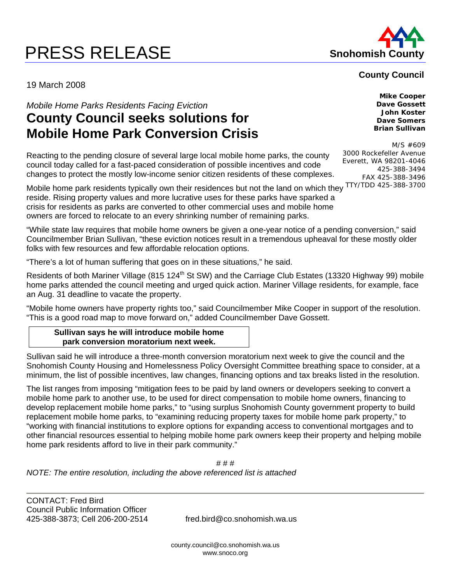# **PRESS RELEASE Shohomish County**



# **County Council**

19 March 2008

*Mobile Home Parks Residents Facing Eviction* 

# **County Council seeks solutions for Mobile Home Park Conversion Crisis**

Reacting to the pending closure of several large local mobile home parks, the county council today called for a fast-paced consideration of possible incentives and code changes to protect the mostly low-income senior citizen residents of these complexes.

Mobile home park residents typically own their residences but not the land on which they TTY/TDD 425-388-3700 reside. Rising property values and more lucrative uses for these parks have sparked a crisis for residents as parks are converted to other commercial uses and mobile home owners are forced to relocate to an every shrinking number of remaining parks.

"While state law requires that mobile home owners be given a one-year notice of a pending conversion," said Councilmember Brian Sullivan, "these eviction notices result in a tremendous upheaval for these mostly older folks with few resources and few affordable relocation options.

"There's a lot of human suffering that goes on in these situations," he said.

Residents of both Mariner Village (815 124<sup>th</sup> St SW) and the Carriage Club Estates (13320 Highway 99) mobile home parks attended the council meeting and urged quick action. Mariner Village residents, for example, face an Aug. 31 deadline to vacate the property.

"Mobile home owners have property rights too," said Councilmember Mike Cooper in support of the resolution. "This is a good road map to move forward on," added Councilmember Dave Gossett.

**Sullivan says he will introduce mobile home park conversion moratorium next week.** 

Sullivan said he will introduce a three-month conversion moratorium next week to give the council and the Snohomish County Housing and Homelessness Policy Oversight Committee breathing space to consider, at a minimum, the list of possible incentives, law changes, financing options and tax breaks listed in the resolution.

The list ranges from imposing "mitigation fees to be paid by land owners or developers seeking to convert a mobile home park to another use, to be used for direct compensation to mobile home owners, financing to develop replacement mobile home parks," to "using surplus Snohomish County government property to build replacement mobile home parks, to "examining reducing property taxes for mobile home park property," to "working with financial institutions to explore options for expanding access to conventional mortgages and to other financial resources essential to helping mobile home park owners keep their property and helping mobile home park residents afford to live in their park community."

# # # *NOTE: The entire resolution, including the above referenced list is attached* 

CONTACT: Fred Bird Council Public Information Officer 425-388-3873; Cell 206-200-2514 fred.bird@co.snohomish.wa.us

county.council@co.snohomish.wa.us www.snoco.org

**Mike Cooper Dave Gossett John Koster Dave Somers Brian Sullivan** 

M/S #609 3000 Rockefeller Avenue Everett, WA 98201-4046 425-388-3494 FAX 425-388-3496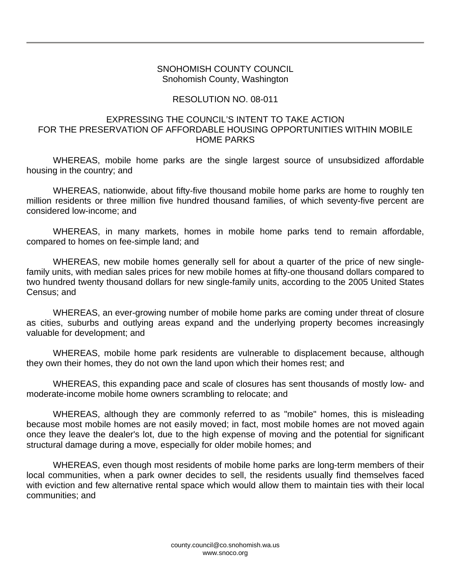#### SNOHOMISH COUNTY COUNCIL Snohomish County, Washington

# RESOLUTION NO. 08-011

# EXPRESSING THE COUNCIL'S INTENT TO TAKE ACTION FOR THE PRESERVATION OF AFFORDABLE HOUSING OPPORTUNITIES WITHIN MOBILE HOME PARKS

 WHEREAS, mobile home parks are the single largest source of unsubsidized affordable housing in the country; and

 WHEREAS, nationwide, about fifty-five thousand mobile home parks are home to roughly ten million residents or three million five hundred thousand families, of which seventy-five percent are considered low-income; and

 WHEREAS, in many markets, homes in mobile home parks tend to remain affordable, compared to homes on fee-simple land; and

 WHEREAS, new mobile homes generally sell for about a quarter of the price of new singlefamily units, with median sales prices for new mobile homes at fifty-one thousand dollars compared to two hundred twenty thousand dollars for new single-family units, according to the 2005 United States Census; and

 WHEREAS, an ever-growing number of mobile home parks are coming under threat of closure as cities, suburbs and outlying areas expand and the underlying property becomes increasingly valuable for development; and

 WHEREAS, mobile home park residents are vulnerable to displacement because, although they own their homes, they do not own the land upon which their homes rest; and

 WHEREAS, this expanding pace and scale of closures has sent thousands of mostly low- and moderate-income mobile home owners scrambling to relocate; and

 WHEREAS, although they are commonly referred to as "mobile" homes, this is misleading because most mobile homes are not easily moved; in fact, most mobile homes are not moved again once they leave the dealer's lot, due to the high expense of moving and the potential for significant structural damage during a move, especially for older mobile homes; and

 WHEREAS, even though most residents of mobile home parks are long-term members of their local communities, when a park owner decides to sell, the residents usually find themselves faced with eviction and few alternative rental space which would allow them to maintain ties with their local communities; and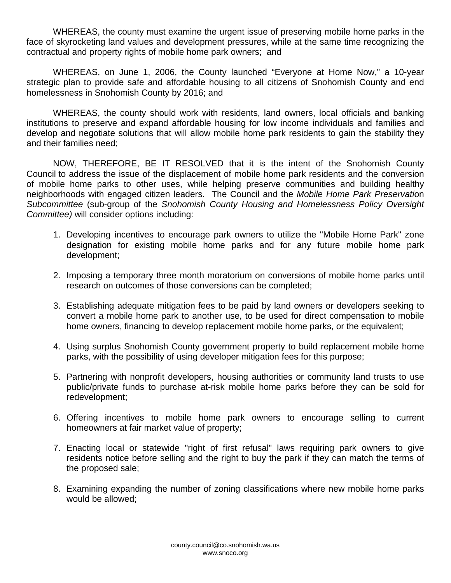WHEREAS, the county must examine the urgent issue of preserving mobile home parks in the face of skyrocketing land values and development pressures, while at the same time recognizing the contractual and property rights of mobile home park owners; and

 WHEREAS, on June 1, 2006, the County launched "Everyone at Home Now," a 10-year strategic plan to provide safe and affordable housing to all citizens of Snohomish County and end homelessness in Snohomish County by 2016; and

 WHEREAS, the county should work with residents, land owners, local officials and banking institutions to preserve and expand affordable housing for low income individuals and families and develop and negotiate solutions that will allow mobile home park residents to gain the stability they and their families need;

 NOW, THEREFORE, BE IT RESOLVED that it is the intent of the Snohomish County Council to address the issue of the displacement of mobile home park residents and the conversion of mobile home parks to other uses, while helping preserve communities and building healthy neighborhoods with engaged citizen leaders. The Council and the *Mobile Home Park Preservati*on *Subcommittee* (sub-group of the *Snohomish County Housing and Homelessness Policy Oversight Committee)* will consider options including:

- 1. Developing incentives to encourage park owners to utilize the "Mobile Home Park" zone designation for existing mobile home parks and for any future mobile home park development;
- 2. Imposing a temporary three month moratorium on conversions of mobile home parks until research on outcomes of those conversions can be completed;
- 3. Establishing adequate mitigation fees to be paid by land owners or developers seeking to convert a mobile home park to another use, to be used for direct compensation to mobile home owners, financing to develop replacement mobile home parks, or the equivalent;
- 4. Using surplus Snohomish County government property to build replacement mobile home parks, with the possibility of using developer mitigation fees for this purpose;
- 5. Partnering with nonprofit developers, housing authorities or community land trusts to use public/private funds to purchase at-risk mobile home parks before they can be sold for redevelopment;
- 6. Offering incentives to mobile home park owners to encourage selling to current homeowners at fair market value of property;
- 7. Enacting local or statewide "right of first refusal" laws requiring park owners to give residents notice before selling and the right to buy the park if they can match the terms of the proposed sale;
- 8. Examining expanding the number of zoning classifications where new mobile home parks would be allowed;